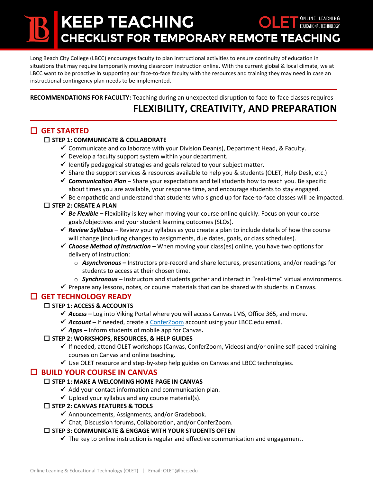# KEEP TEACHING CHECKLIST FOR TEMPORARY REMOTE TEACHING

Long Beach City College (LBCC) encourages faculty to plan instructional activities to ensure continuity of education in situations that may require temporarily moving classroom instruction online. With the current global & local climate, we at LBCC want to be proactive in supporting our face-to-face faculty with the resources and training they may need in case an instructional contingency plan needs to be implemented.

**RECOMMENDATIONS FOR FACULTY:** Teaching during an unexpected disruption to face-to-face classes requires

## **FLEXIBILITY, CREATIVITY, AND PREPARATION**

### **GET STARTED**

#### **STEP 1: COMMUNICATE & COLLABORATE**

- $\checkmark$  Communicate and collaborate with your Division Dean(s), Department Head, & Faculty.
- $\checkmark$  Develop a faculty support system within your department.
- $\checkmark$  Identify pedagogical strategies and goals related to your subject matter.
- $\checkmark$  Share the support services & resources available to help you & students (OLET, Help Desk, etc.)
- *Communication Plan –* Share your expectations and tell students how to reach you. Be specific about times you are available, your response time, and encourage students to stay engaged.
- $\checkmark$  Be empathetic and understand that students who signed up for face-to-face classes will be impacted.

#### **STEP 2: CREATE A PLAN**

- *◆ Be Flexible* Flexibility is key when moving your course online quickly. Focus on your course goals/objectives and your student learning outcomes (SLOs).
- *Review Syllabus –* Review your syllabus as you create a plan to include details of how the course will change (including changes to assignments, due dates, goals, or class schedules).
- *Choose Method of Instruction –* When moving your class(es) online, you have two options for delivery of instruction:
	- o *Asynchronous –* Instructors pre-record and share lectures, presentations, and/or readings for students to access at their chosen time.
- o *Synchronous –* Instructors and students gather and interact in "real-time" virtual environments.
- $\checkmark$  Prepare any lessons, notes, or course materials that can be shared with students in Canvas.

#### **GET TECHNOLOGY READY**

#### **STEP 1: ACCESS & ACCOUNTS**

- *Access –* Log into Viking Portal where you will access Canvas LMS, Office 365, and more.
- *Account –* If needed, create a [ConferZoom](https://conferzoom.org/) account using your LBCC.edu email.
- *Apps –* Inform students of mobile app for Canvas*.*

#### **STEP 2: WORKSHOPS, RESOURCES, & HELP GUIDES**

- $\checkmark$  If needed, attend OLET workshops (Canvas, ConferZoom, Videos) and/or online self-paced training courses on Canvas and online teaching.
- $\checkmark$  Use OLET resource and step-by-step help guides on Canvas and LBCC technologies.

#### **BUILD YOUR COURSE IN CANVAS**

#### **STEP 1: MAKE A WELCOMING HOME PAGE IN CANVAS**

- $\checkmark$  Add your contact information and communication plan.
- $\checkmark$  Upload your syllabus and any course material(s).

#### **STEP 2: CANVAS FEATURES & TOOLS**

- $\checkmark$  Announcements, Assignments, and/or Gradebook.
- $\checkmark$  Chat, Discussion forums, Collaboration, and/or ConferZoom.

#### **STEP 3: COMMUNICATE & ENGAGE WITH YOUR STUDENTS OFTEN**

 $\checkmark$  The key to online instruction is regular and effective communication and engagement.